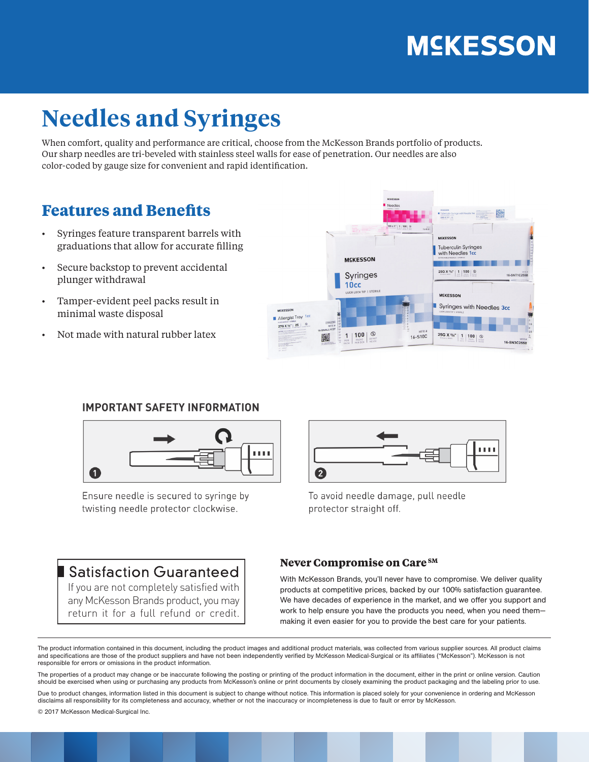# **MSKESSON**

## **Needles and Syringes**

When comfort, quality and performance are critical, choose from the McKesson Brands portfolio of products. Our sharp needles are tri-beveled with stainless steel walls for ease of penetration. Our needles are also color-coded by gauge size for convenient and rapid identification.

### **Features and Benefits**

- Syringes feature transparent barrels with graduations that allow for accurate filling
- Secure backstop to prevent accidental plunger withdrawal
- Tamper-evident peel packs result in minimal waste disposal
- Not made with natural rubber latex



#### **IMPORTANT SAFETY INFORMATION**



Ensure needle is secured to syringe by twisting needle protector clockwise.



To avoid needle damage, pull needle protector straight off.

### Satisfaction Guaranteed

If you are not completely satisfied with any McKesson Brands product, you may return it for a full refund or credit.

#### **Never Compromise on Care SM**

With McKesson Brands, you'll never have to compromise. We deliver quality products at competitive prices, backed by our 100% satisfaction guarantee. We have decades of experience in the market, and we offer you support and work to help ensure you have the products you need, when you need them making it even easier for you to provide the best care for your patients.

The product information contained in this document, including the product images and additional product materials, was collected from various supplier sources. All product claims and specifications are those of the product suppliers and have not been independently verified by McKesson Medical-Surgical or its affiliates ("McKesson"). McKesson is not responsible for errors or omissions in the product information.

The properties of a product may change or be inaccurate following the posting or printing of the product information in the document, either in the print or online version. Caution should be exercised when using or purchasing any products from McKesson's online or print documents by closely examining the product packaging and the labeling prior to use.

Due to product changes, information listed in this document is subject to change without notice. This information is placed solely for your convenience in ordering and McKesson disclaims all responsibility for its completeness and accuracy, whether or not the inaccuracy or incompleteness is due to fault or error by McKesson.

© 2017 McKesson Medical-Surgical Inc.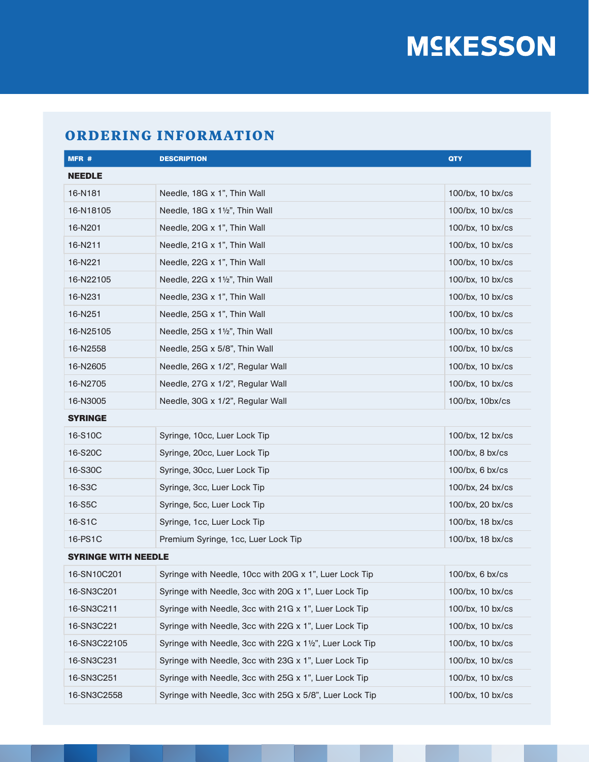# **MSKESSON**

### **ORDERING INFORMATION**

| MFR #                      | <b>DESCRIPTION</b>                                       | <b>QTY</b>         |  |
|----------------------------|----------------------------------------------------------|--------------------|--|
| <b>NEEDLE</b>              |                                                          |                    |  |
| 16-N181                    | Needle, 18G x 1", Thin Wall                              | 100/bx, 10 bx/cs   |  |
| 16-N18105                  | Needle, 18G x 11/2", Thin Wall                           | 100/bx, 10 bx/cs   |  |
| 16-N201                    | Needle, 20G x 1", Thin Wall                              | 100/bx, 10 bx/cs   |  |
| 16-N211                    | Needle, 21G x 1", Thin Wall                              | 100/bx, 10 bx/cs   |  |
| 16-N221                    | Needle, 22G x 1", Thin Wall                              | 100/bx, 10 bx/cs   |  |
| 16-N22105                  | Needle, 22G x 11/2", Thin Wall                           | 100/bx, 10 bx/cs   |  |
| 16-N231                    | Needle, 23G x 1", Thin Wall                              | 100/bx, 10 bx/cs   |  |
| 16-N251                    | Needle, 25G x 1", Thin Wall                              | 100/bx, 10 bx/cs   |  |
| 16-N25105                  | Needle, 25G x 11/2", Thin Wall                           | 100/bx, 10 bx/cs   |  |
| 16-N2558                   | Needle, 25G x 5/8", Thin Wall                            | 100/bx, 10 bx/cs   |  |
| 16-N2605                   | Needle, 26G x 1/2", Regular Wall                         | 100/bx, 10 bx/cs   |  |
| 16-N2705                   | Needle, 27G x 1/2", Regular Wall                         | 100/bx, 10 bx/cs   |  |
| 16-N3005                   | Needle, 30G x 1/2", Regular Wall                         | 100/bx, 10bx/cs    |  |
| <b>SYRINGE</b>             |                                                          |                    |  |
| 16-S10C                    | Syringe, 10cc, Luer Lock Tip                             | 100/bx, 12 bx/cs   |  |
| 16-S20C                    | Syringe, 20cc, Luer Lock Tip                             | $100$ /bx, 8 bx/cs |  |
| 16-S30C                    | Syringe, 30cc, Luer Lock Tip                             | 100/bx, 6 bx/cs    |  |
| 16-S3C                     | Syringe, 3cc, Luer Lock Tip                              | 100/bx, 24 bx/cs   |  |
| 16-S5C                     | Syringe, 5cc, Luer Lock Tip                              | 100/bx, 20 bx/cs   |  |
| 16-S1C                     | Syringe, 1cc, Luer Lock Tip                              | 100/bx, 18 bx/cs   |  |
| 16-PS1C                    | Premium Syringe, 1cc, Luer Lock Tip                      | 100/bx, 18 bx/cs   |  |
| <b>SYRINGE WITH NEEDLE</b> |                                                          |                    |  |
| 16-SN10C201                | Syringe with Needle, 10cc with 20G x 1", Luer Lock Tip   | $100$ /bx, 6 bx/cs |  |
| 16-SN3C201                 | Syringe with Needle, 3cc with 20G x 1", Luer Lock Tip    | 100/bx, 10 bx/cs   |  |
| 16-SN3C211                 | Syringe with Needle, 3cc with 21G x 1", Luer Lock Tip    | 100/bx, 10 bx/cs   |  |
| 16-SN3C221                 | Syringe with Needle, 3cc with 22G x 1", Luer Lock Tip    | 100/bx, 10 bx/cs   |  |
| 16-SN3C22105               | Syringe with Needle, 3cc with 22G x 11/2", Luer Lock Tip | 100/bx, 10 bx/cs   |  |
| 16-SN3C231                 | Syringe with Needle, 3cc with 23G x 1", Luer Lock Tip    | 100/bx, 10 bx/cs   |  |
| 16-SN3C251                 | Syringe with Needle, 3cc with 25G x 1", Luer Lock Tip    | 100/bx, 10 bx/cs   |  |
| 16-SN3C2558                | Syringe with Needle, 3cc with 25G x 5/8", Luer Lock Tip  | 100/bx, 10 bx/cs   |  |